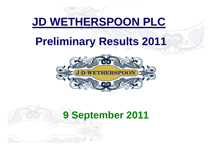# **JD WETHERSPOON PLC**

# **Preliminary Results 2011**



# **9 September 2011**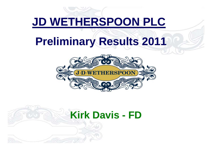# **JD WETHERSPOON PLC**

# **Preliminary Results 2011**



# **Kirk Davis - FD**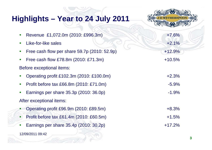| Highlights – Year to 24 July 2011                    |          |
|------------------------------------------------------|----------|
| Revenue £1,072.0m (2010: £996.3m)                    | $+7.6%$  |
| Like-for-like sales                                  | $+2.1%$  |
| Free cash flow per share 59.7p (2010: 52.9p)         | $+12.9%$ |
| Free cash flow £78.8m (2010: £71.3m)                 | $+10.5%$ |
| Before exceptional items:                            |          |
| Operating profit £102.3m (2010: £100.0m)             | $+2.3%$  |
| Profit before tax £66.8m (2010: £71.0m)              | $-5.9\%$ |
| Earnings per share 35.3p (2010: 36.0p)               | $-1.9\%$ |
| After exceptional items:                             |          |
| Operating profit £96.9m (2010: £89.5m)               | $+8.3%$  |
| Profit before tax £61.4m (2010: £60.5m)<br>$\bullet$ | $+1.5%$  |
| Earnings per share 35.4p (2010: 30.2p)               | $+17.2%$ |
| 12/09/2011 09:42                                     | 3        |

**ARDENTIA** 

V)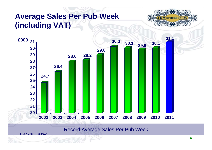# **Average Sales Per Pub Week (including VAT)**





#### Record Average Sales Per Pub Week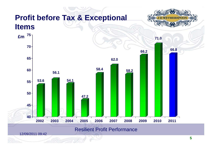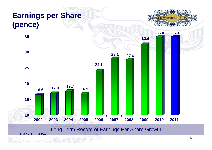

#### Long Term Record of Earnings Per Share Growth

12/09/2011 09:42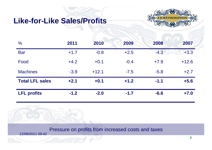## **Like-for-Like Sales/Profits**



| $\frac{6}{6}$          | 2011   | 2010    | 2009   | 2008   | 2007    |
|------------------------|--------|---------|--------|--------|---------|
| <b>Bar</b>             | $+1.7$ | $-0.8$  | $+2.5$ | $-4.3$ | $+3.3$  |
| Food                   | $+4.2$ | $+0.1$  | $-0.4$ | $+7.9$ | $+12.6$ |
| <b>Machines</b>        | $-3.9$ | $+12.1$ | $-7.5$ | $-5.8$ | $+2.7$  |
| <b>Total LFL sales</b> | $+2.1$ | $+0.1$  | $+1.2$ | $-1.1$ | $+5.6$  |
| <b>LFL profits</b>     | $-1.2$ | $-2.0$  | $-1.7$ | $-6.6$ | $+7.0$  |

Pressure on profits from increased costs and taxes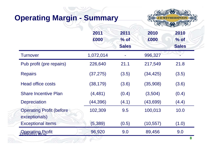# **Operating Margin - Summary**



|                                                  | 2011<br>£000 | 2011<br>$%$ of<br><b>Sales</b> | 2010<br>£000 | 2010<br>$%$ of<br><b>Sales</b> |
|--------------------------------------------------|--------------|--------------------------------|--------------|--------------------------------|
| <b>Turnover</b>                                  | 1,072,014    |                                | 996,327      |                                |
| Pub profit (pre repairs)                         | 226,640      | 21.1                           | 217,549      | 21.8                           |
| <b>Repairs</b>                                   | (37, 275)    | (3.5)                          | (34, 425)    | (3.5)                          |
| <b>Head office costs</b>                         | (38, 179)    | (3.6)                          | (35,908)     | (3.6)                          |
| <b>Share Incentive Plan</b>                      | (4, 481)     | (0.4)                          | (3,504)      | (0.4)                          |
| <b>Depreciation</b>                              | (44,396)     | (4.1)                          | (43, 699)    | (4.4)                          |
| <b>Operating Profit (before</b><br>exceptionals) | 102,309      | 9.5                            | 100,013      | 10.0                           |
| <b>Exceptional items</b>                         | (5, 389)     | (0.5)                          | (10, 557)    | (1.0)                          |
| 12/Besating Profit                               | 96,920       | 9.0                            | 89,456       | 9.0                            |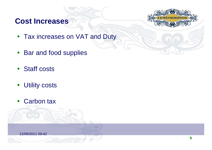# **Cost Increases**



- Tax increases on VAT and Duty
- $\bullet$ Bar and food supplies
- Staff costs
- $\bullet$ Utility costs
- $\bullet$ Carbon tax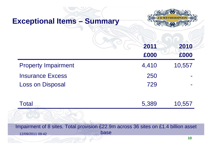| <b>Exceptional Items - Summary</b>                                                                              |              |              |
|-----------------------------------------------------------------------------------------------------------------|--------------|--------------|
|                                                                                                                 | 2011<br>£000 | 2010<br>£000 |
| <b>Property Impairment</b>                                                                                      | 4,410        | 10,557       |
| <b>Insurance Excess</b>                                                                                         | 250          |              |
| <b>Loss on Disposal</b>                                                                                         | 729          |              |
| Total                                                                                                           | 5,389        | 10,557       |
|                                                                                                                 |              |              |
| Impairment of 8 sites. Total provision £22.9m across 36 sites on £1.4 billion asset<br>base<br>12/09/2011 09:42 |              |              |
|                                                                                                                 |              | 10           |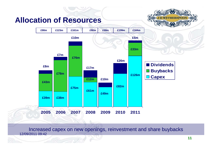### **Allocation of Resources**





12/09/2011 09:42Increased capex on new openings, reinvestment and share buybacks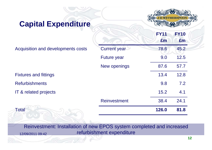### **Capital Expenditure**



**FY10**

**FY11**

|                                    |                     | £m    | £m   |
|------------------------------------|---------------------|-------|------|
| Acquisition and developments costs | <b>Current year</b> | 78.6  | 45.2 |
|                                    | <b>Future year</b>  | 9.0   | 12.5 |
|                                    | New openings        | 87.6  | 57.7 |
| <b>Fixtures and fittings</b>       |                     | 13.4  | 12.8 |
| <b>Refurbishments</b>              |                     | 9.8   | 7.2  |
| IT & related projects              |                     | 15.2  | 4.1  |
|                                    | <b>Reinvestment</b> | 38.4  | 24.1 |
| <b>Total</b>                       |                     | 126.0 | 81.8 |

12/09/2011 09:42Reinvestment: Installation of new EPOS system completed and increased refurbishment expenditure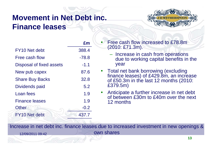# **Movement in Net Debt inc. Finance leases**



|                           | £m      |
|---------------------------|---------|
| FY <sub>10</sub> Net debt | 388.4   |
| Free cash flow            | $-78.8$ |
| Disposal of fixed assets  | $-1.1$  |
| New pub capex             | 87.6    |
| <b>Share Buy Backs</b>    | 32.8    |
| Dividends paid            | 5.2     |
| Loan fees                 | 1.9     |
| <b>Finance leases</b>     | 1.9     |
| Other                     | $-0.2$  |
| FY <sub>10</sub> Net debt | 437.7   |

O Free cash flow increased to £78.8m (2010: £71.3m).

- Increase in cash from operations due to working capital benefits in the year
- 0 Total net bank borrowing (excluding finance leases) of £429.8m, an increase of £50.3m in the last 12 months (2010: £379.5m)
- O Anticipate a further increase in net debt of between £30m to £40m over the next 12 months

Increase in net debt inc. finance leases due to increased investment in new openings &

own shares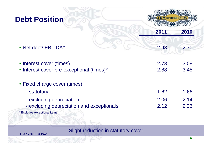| <b>Debt Position</b>                                                  |              |              |
|-----------------------------------------------------------------------|--------------|--------------|
|                                                                       |              |              |
|                                                                       | 2011         | 2010         |
| • Net debt/ EBITDA*                                                   | 2.98         | 2.70         |
| • Interest cover (times)<br>• Interest cover pre-exceptional (times)* | 2.73<br>2.88 | 3.08<br>3.45 |
| • Fixed charge cover (times)                                          |              |              |
| - statutory                                                           | 1.62         | 1.66         |
| - excluding depreciation                                              | 2.06         | 2.14         |
| - excluding depreciation and exceptionals                             | 2.12         | 2.26         |

\* Excludes exceptional items

Slight reduction in statutory cover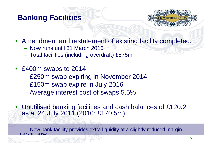# **Banking Facilities**



- Amendment and restatement of existing facility completed.
	- Now runs until 31 March 2016
	- Total facilities (including overdraft) £575m
- £400m swaps to 2014
	- £250m swap expiring in November 2014
	- £150m swap expire in July 2016
	- Average interest cost of swaps 5.5%
- Unutilised banking facilities and cash balances of £120.2m as at 24 July 2011 (2010: £170.5m)

12/09/2011 09:42New bank facility provides extra liquidity at a slightly reduced margin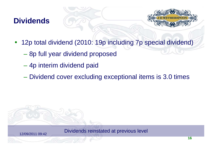# **Dividends**

12/09/2011 09:42



- $\bullet$  12p total dividend (2010: 19p including 7p special dividend)
	- 8p full year dividend proposed
	- 4p interim dividend paid
	- Dividend cover excluding exceptional items is 3.0 times

Dividends reinstated at previous level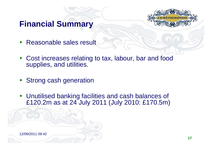



- Reasonable sales result
- Cost increases relating to tax, labour, bar and food supplies, and utilities.
- Strong cash generation
- Unutilised banking facilities and cash balances of £120.2m as at 24 July 2011 (July 2010: £170.5m)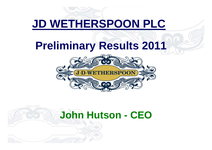# **JD WETHERSPOON PLC**

# **Preliminary Results 2011**



# **John Hutson - CEO**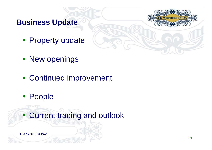**Business Update**



- New openings
- Continued improvement
- People

Current trading and outlook

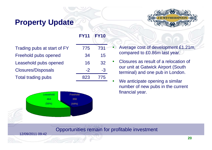# **Property Update**



#### **FY11FY10**

Trading pubs at start of FY 775 731 Freehold pubs opened 34 15 Leasehold pubs opened 16 32 Closures/Disposals -2 -3 Total trading pubs 823 775



- Average cost of development £1.21m, compared to £0.86m last year.
- 0 Closures as result of a relocation of our unit at Gatwick Airport (South terminal) and one pub in London.
- 0 We anticipate opening a similar number of new pubs in the current financial year.

#### Opportunities remain for profitable investment

0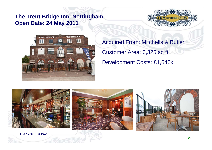### **The Trent Bridge Inn, Nottingham Open Date: 24 May 2011**





Acquired From: Mitchells & Butler Customer Area: 6,325 sq ft Development Costs: £1,646k

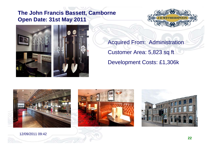### **The John Francis Bassett, Camborne Open Date: 31st May 2011**





Acquired From: Administration Customer Area: 5,823 sq ft Development Costs: £1,306k







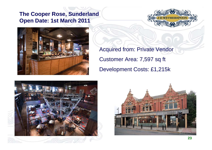### **The Cooper Rose, Sunderland Open Date: 1st March 2011**





Acquired from: Private Vendor Customer Area: 7,597 sq ft Development Costs: £1,215k



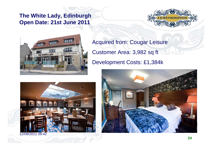### **The White Lady, Edinburgh Open Date: 21st June 2011**





Acquired from: Cougar Leisure Customer Area: 3,982 sq ft Development Costs: £1,384k



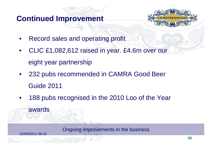# **Continued Improvement**



- •Record sales and operating profit
- • CLIC £1,082,612 raised in year. £4.6m over our eight year partnership
- • 232 pubs recommended in CAMRA Good Beer Guide 2011
- •188 pubs recognised in the 2010 Loo of the Year

Ongoing improvements in the business

12/09/2011 09:42

awards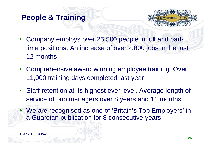# **People & Training**



- Company employs over 25,500 people in full and parttime positions. An increase of over 2,800 jobs in the last 12 months
- Comprehensive award winning employee training. Over 11,000 training days completed last year
- Staff retention at its highest ever level. Average length of service of pub managers over 8 years and 11 months.
- We are recognised as one of 'Britain's Top Employers' in a Guardian publication for 8 consecutive years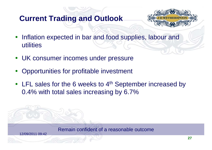# **Current Trading and Outlook**



- Inflation expected in bar and food supplies, labour and utilities
- UK consumer incomes under pressure
- $\bullet$ Opportunities for profitable investment
- LFL sales for the 6 weeks to 4<sup>th</sup> September increased by 0.4% with total sales increasing by 6.7%

Remain confident of a reasonable outcome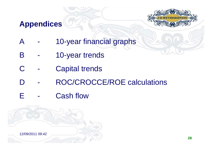# **Appendices**



- A 10-year financial graphs
- B 10-year trends
- C Capital trends
- D ROC/CROCCE/ROE calculations
- E Cash flow

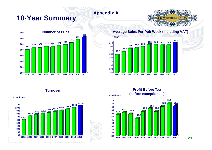# **10-Year Summary Appendix A**





#### **Average Sales Per Pub Week (including VAT)**



**Turnover**



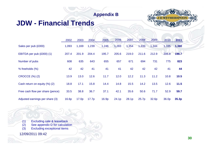#### **Appendix B**

### **JDW - Financial Trends**



|                                  | 2002  | 2003  | 2004  | 2005  | 2006  | 2007  | 2008  | 2009  | 2010  | 2011  |
|----------------------------------|-------|-------|-------|-------|-------|-------|-------|-------|-------|-------|
| Sales per pub (£000)             | 1,093 | 1,169 | 1,239 | 1,246 | 1,283 | 1,354 | 1,333 | 1,344 | 1,335 | 1,360 |
| EBITDA per pub (£000) (1)        | 207.4 | 201.9 | 204.4 | 195.7 | 205.6 | 219.0 | 211.6 | 212.9 | 205.8 | 198.7 |
| Number of pubs                   | 608   | 635   | 643   | 655   | 657   | 671   | 694   | 731   | 775   | 823   |
| % freeholds (%)                  | 42    | 42    | 41    | 41    | 41    | 42    | 42    | 42    | 41    | 44    |
| <b>CROCCE (%) (2)</b>            | 13.9  | 13.0  | 12.6  | 11.7  | 12.0  | 12.2  | 11.3  | 11.2  | 10.8  | 10.5  |
| Cash return on equity (%) (2)    | 18.8  | 17.1  | 15.8  | 14.4  | 14.8  | 15.5  | 14.2  | 13.5  | 12.6  | 11.5  |
| Free cash flow per share (pence) | 33.5  | 38.8  | 36.7  | 37.1  | 42.1  | 35.6  | 50.6  | 71.7  | 52.9  | 59.7  |
| Adjusted earnings per share (3)  | 16.6p | 17.0p | 17.7p | 16.9p | 24.1p | 28.1p | 25.7p | 32.6p | 36.0p | 35.3p |

(1) Excluding sale & leaseback (2) See appendix D for calculation (3) Excluding exceptional items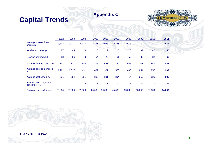#### **Appendix C**

### **Capital Trends**



|                                                | 2002   | 2003           | 2004   | 2005   | 2006   | 2007   | 2008           | 2009   | 2010   | 2011   |
|------------------------------------------------|--------|----------------|--------|--------|--------|--------|----------------|--------|--------|--------|
| Average size (sq.ft.) -<br>openings            | 3,808  | 3,721          | 4,317  | 4,176  | 3,928  | 3,855  | 3,618          | 3,359  | 3,781  | 3,572  |
| Number of openings                             | 87     | 45             | 28     | 13     | 9      | 18     | 23             | 39     | 47     | 50     |
| % which are freehold                           | 53     | 56             | 43     | 54     | 22     | 61     | 57             | 33     | 32     | 68     |
| Freehold average cost (£k)                     | 597    | 511            | 640    | 873    | 625    | 750    | 958            | 765    | 857    | 825    |
| Average development cost<br>(Ek)               | 1,262  | 1,317          | 1,431  | 1,401  | 1,301  | 1,520  | 1,498          | 851    | 857    | 1,207  |
| Average cost per sq. ft.                       | 331    | 354            | 331    | 335    | 331    | 394    | 414            | 253    | 226    | 338    |
| Increase in average cost<br>per sq foot $(\%)$ | $-1$   | $\overline{7}$ | $-6$   | 1      | $-1$   | 19     | 5 <sup>5</sup> | $-39$  | $-11$  | 49     |
| Population within 2 miles                      | 70.000 | 73,000         | 51,000 | 64.000 | 59,000 | 45,000 | 50,000         | 38,000 | 67,000 | 54,000 |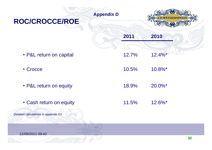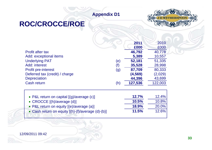#### **Appendix D1**

### **ROC/CROCCE/ROE**



|                                |     | 2011     | 2010    |
|--------------------------------|-----|----------|---------|
|                                |     | £000     | £000    |
| <b>Profit after tax</b>        |     | 46,792   | 40,778  |
| Add: exceptional items         |     | 5,389    | 10,557  |
| <b>Underlying PAT</b>          | (e) | 52,181   | 51,335  |
| Add: interest                  | (f) | 35,528   | 28,998  |
| <b>Profit pre-interest</b>     | (g) | 87,709   | 80,333  |
| Deferred tax (credit) / charge |     | (4, 569) | (2,029) |
| <b>Depreciation</b>            |     | 44,396   | 43,699  |
| Cash return                    | (h) | 127,536  | 122,003 |

| • P&L return on capital $[(g)/average(c)]$        | 12.7%        | 12.4% |
|---------------------------------------------------|--------------|-------|
| • CROCCE [(h)/average (d)]                        | 10.5%        | 10.8% |
| • P&L return on equity [(e)/average (a)]          | <b>18.9%</b> | 20.0% |
| • Cash return on equity [(h)-(f)/average (d)-(b)] | 11.5%        | 12.6% |

12/09/2011 09:42

 $\overline{a}$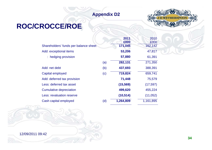#### **Appendix D2**



# **ROC/CROCCE/ROE**

|                                       |     | 2011<br>£000 | 2010<br>£000 |
|---------------------------------------|-----|--------------|--------------|
| Shareholders' funds per balance sheet |     | 171,045      | 162,142      |
| Add: exceptional items                |     | 53,206       | 47,817       |
| : hedging provision                   |     | 57,880       | 61,391       |
|                                       | (a) | 282,131      | 271,350      |
| Add: net debt                         | (b) | 437,693      | 388,391      |
| Capital employed                      | (c) | 719,824      | 659,741      |
| Add: deferred tax provision           |     | 71,448       | 75,579       |
| Less: deferred tax asset              |     | (15, 569)    | (17, 597)    |
| <b>Cumulative depreciation</b>        |     | 499,620      | 455,224      |
| <b>Less: revaluation reserve</b>      |     | (10, 514)    | (11, 052)    |
| Cash capital employed                 | (d) | 1,264,809    | 1,161,895    |
|                                       |     |              |              |